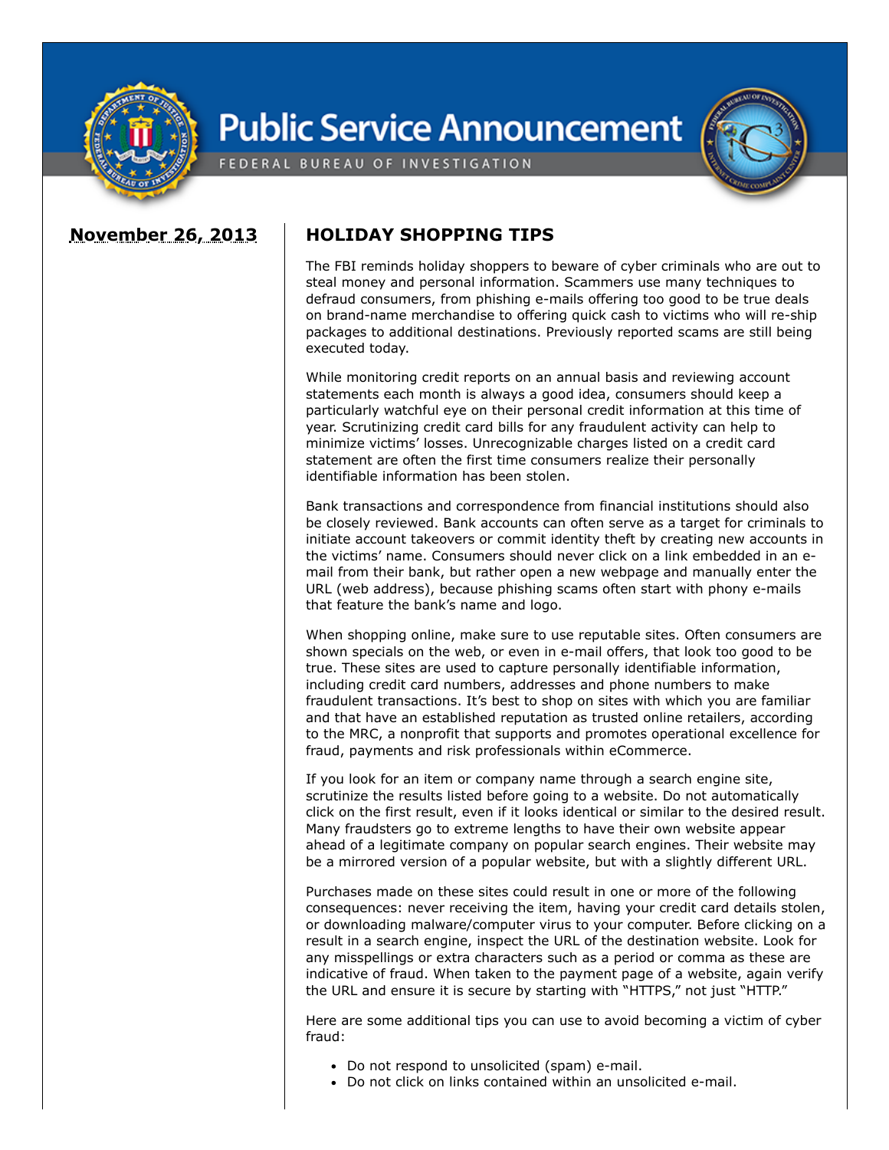

## **Public Service Announcement**

FEDERAL BUREAU OF INVESTIGATION

## **November 26, 2013 HOLIDAY SHOPPING TIPS**

The FBI reminds holiday shoppers to beware of cyber criminals who are out to steal money and personal information. Scammers use many techniques to defraud consumers, from phishing e-mails offering too good to be true deals on brand-name merchandise to offering quick cash to victims who will re-ship packages to additional destinations. Previously reported scams are still being executed today.

While monitoring credit reports on an annual basis and reviewing account statements each month is always a good idea, consumers should keep a particularly watchful eye on their personal credit information at this time of year. Scrutinizing credit card bills for any fraudulent activity can help to minimize victims' losses. Unrecognizable charges listed on a credit card statement are often the first time consumers realize their personally identifiable information has been stolen.

Bank transactions and correspondence from financial institutions should also be closely reviewed. Bank accounts can often serve as a target for criminals to initiate account takeovers or commit identity theft by creating new accounts in the victims' name. Consumers should never click on a link embedded in an email from their bank, but rather open a new webpage and manually enter the URL (web address), because phishing scams often start with phony e-mails that feature the bank's name and logo.

When shopping online, make sure to use reputable sites. Often consumers are shown specials on the web, or even in e-mail offers, that look too good to be true. These sites are used to capture personally identifiable information, including credit card numbers, addresses and phone numbers to make fraudulent transactions. It's best to shop on sites with which you are familiar and that have an established reputation as trusted online retailers, according to the MRC, a nonprofit that supports and promotes operational excellence for fraud, payments and risk professionals within eCommerce.

If you look for an item or company name through a search engine site, scrutinize the results listed before going to a website. Do not automatically click on the first result, even if it looks identical or similar to the desired result. Many fraudsters go to extreme lengths to have their own website appear ahead of a legitimate company on popular search engines. Their website may be a mirrored version of a popular website, but with a slightly different URL.

Purchases made on these sites could result in one or more of the following consequences: never receiving the item, having your credit card details stolen, or downloading malware/computer virus to your computer. Before clicking on a result in a search engine, inspect the URL of the destination website. Look for any misspellings or extra characters such as a period or comma as these are indicative of fraud. When taken to the payment page of a website, again verify the URL and ensure it is secure by starting with "HTTPS," not just "HTTP."

Here are some additional tips you can use to avoid becoming a victim of cyber fraud:

- Do not respond to unsolicited (spam) e-mail.
- Do not click on links contained within an unsolicited e-mail.